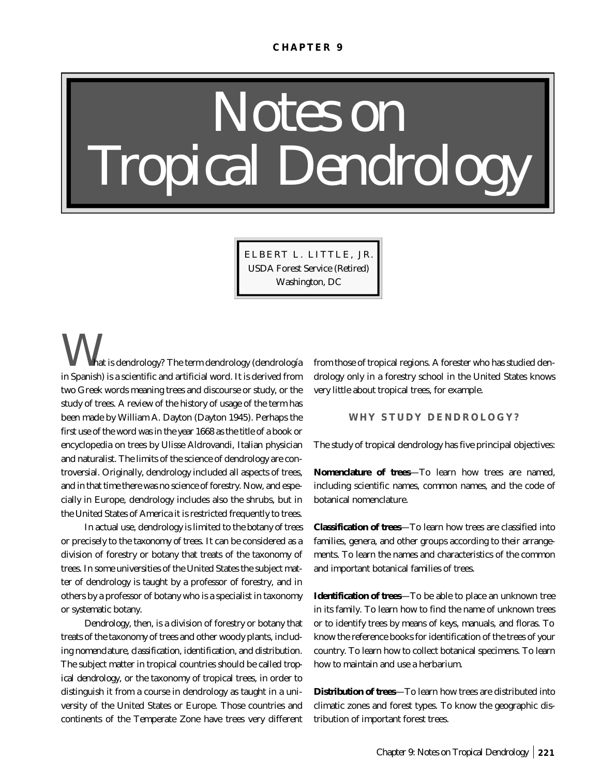#### **CHAPTER 9**

# *Notes on Tropical Dendrology*

ELBERT L. LITTLE, JR. USDA Forest Service (Retired) Washington, DC

*W*hat is dendrology? The term dendrology (dendrología in Spanish) is a scientific and artificial word. It is derived from two Greek words meaning trees and discourse or study, or the study of trees. A review of the history of usage of the term has been made by William A. Dayton (Dayton 1945). Perhaps the first use of the word was in the year 1668 as the title of a book or encyclopedia on trees by Ulisse Aldrovandi, Italian physician and naturalist. The limits of the science of dendrology are controversial. Originally, dendrology included all aspects of trees, and in that time there was no science of forestry. Now, and especially in Europe, dendrology includes also the shrubs, but in the United States of America it is restricted frequently to trees.

In actual use, dendrology is limited to the *botany of trees* or precisely to the *taxonomy of trees*. It can be considered as a division of forestry or botany that treats of the taxonomy of trees. In some universities of the United States the subject matter of dendrology is taught by a professor of forestry, and in others by a professor of botany who is a specialist in taxonomy or systematic botany.

*Dendrology*, then, is a division of forestry or botany that treats of the taxonomy of trees and other woody plants, including *nomenclature, classification, identification,* and *distribution*. The subject matter in tropical countries should be called *tropical dendrology*, or the taxonomy of tropical trees, in order to distinguish it from a course in dendrology as taught in a university of the United States or Europe. Those countries and continents of the Temperate Zone have trees very different

from those of tropical regions. A forester who has studied dendrology only in a forestry school in the United States knows very little about tropical trees, for example.

## **WHY STUDY DENDROLOGY?**

The study of tropical dendrology has five principal objectives:

**Nomenclature of trees**—To learn how trees are named, including scientific names, common names, and the code of botanical nomenclature.

**Classification of trees**—To learn how trees are classified into families, genera, and other groups according to their arrangements. To learn the names and characteristics of the common and important botanical families of trees.

**Identification of trees**—To be able to place an unknown tree in its family. To learn how to find the name of unknown trees or to identify trees by means of keys, manuals, and floras. To know the reference books for identification of the trees of your country. To learn how to collect botanical specimens. To learn how to maintain and use a herbarium.

**Distribution of trees**—To learn how trees are distributed into climatic zones and forest types. To know the geographic distribution of important forest trees.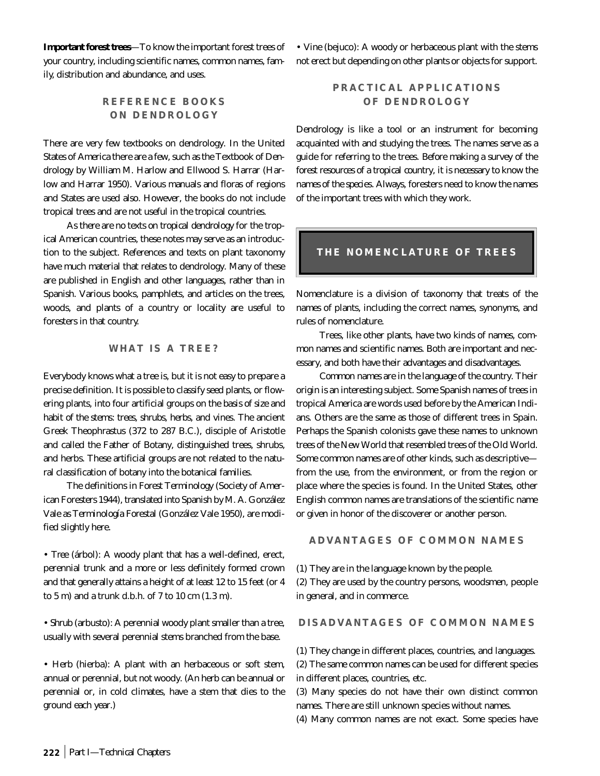**Important forest trees**—To know the important forest trees of your country, including scientific names, common names, family, distribution and abundance, and uses.

# **REFERENCE BOOKS ON DENDROLOGY**

There are very few textbooks on dendrology. In the United States of America there are a few, such as the Textbook of Dendrology by William M. Harlow and Ellwood S. Harrar (Harlow and Harrar 1950). Various manuals and floras of regions and States are used also. However, the books do not include tropical trees and are not useful in the tropical countries.

As *there are no texts on tropical dendrology* for the tropical American countries, these notes may serve as an introduction to the subject. References and texts on plant taxonomy have much material that relates to dendrology. Many of these are published in English and other languages, rather than in Spanish. Various books, pamphlets, and articles on the trees, woods, and plants of a country or locality are useful to foresters in that country.

## **WHAT IS A TREE?**

Everybody knows what a tree is, but it is not easy to prepare a precise definition. It is possible to classify seed plants, or flowering plants, into four artificial groups on the *basis of size and habit of the stems*: *trees, shrubs, herbs,* and *vines*. The ancient Greek Theophrastus (372 to 287 B.C.), disciple of Aristotle and called the Father of Botany, distinguished trees, shrubs, and herbs. These artificial groups are not related to the natural classification of botany into the botanical families.

The definitions in *Forest Terminology* (Society of American Foresters 1944), translated into Spanish by M. A. González Vale as *Terminología Forestal* (González Vale 1950), are modified slightly here.

• *Tree* (árbol): A woody plant that has a well-defined, erect, perennial trunk and a more or less definitely formed crown and that generally attains a height of at least 12 to 15 feet (or 4 to 5 m) and a trunk d.b.h. of 7 to 10 cm (1.3 m).

• *Shrub* (arbusto): A perennial woody plant smaller than a tree, usually with several perennial stems branched from the base.

• *Herb* (hierba): A plant with an herbaceous or soft stem, annual or perennial, but not woody. (An herb can be annual or perennial or, in cold climates, have a stem that dies to the ground each year.)

• *Vine* (bejuco): A woody or herbaceous plant with the stems not erect but depending on other plants or objects for support.

# **PRACTICAL APPLICATIONS OF DENDROLOGY**

Dendrology is like a tool or an instrument for becoming acquainted with and studying the trees. The names serve as a guide for referring to the trees. *Before making a survey of the forest resources of a tropical country, it is necessary to know the names of the species*. Always, foresters need to know the names of the important trees with which they work.

## **THE NOMENCLATURE OF TREES**

Nomenclature is a division of taxonomy that treats of the names of plants, including the correct names, synonyms, and rules of nomenclature.

Trees, like other plants, have two kinds of names, common names and scientific names. Both are important and necessary, and both have their advantages and disadvantages.

*Common names* are in the *language of the country*. Their origin is an interesting subject. Some Spanish names of trees in tropical America are words used before by the American Indians. Others are the same as those of different trees in Spain. Perhaps the Spanish colonists gave these names to unknown trees of the New World that resembled trees of the Old World. Some common names are of other kinds, such as descriptive from the use, from the environment, or from the region or place where the species is found. In the United States, other English common names are translations of the scientific name or given in honor of the discoverer or another person.

## **ADVANTAGES OF COMMON NAMES**

(1) They are in the language known by the people.

(2) They are used by the country persons, woodsmen, people in general, and in commerce.

#### **DISADVANTAGES OF COMMON NAMES**

(1) They change in different places, countries, and languages.

(2) The same common names can be used for different species in different places, countries, etc.

(3) Many species do not have their own distinct common names. There are still unknown species without names.

(4) Many common names are not exact. Some species have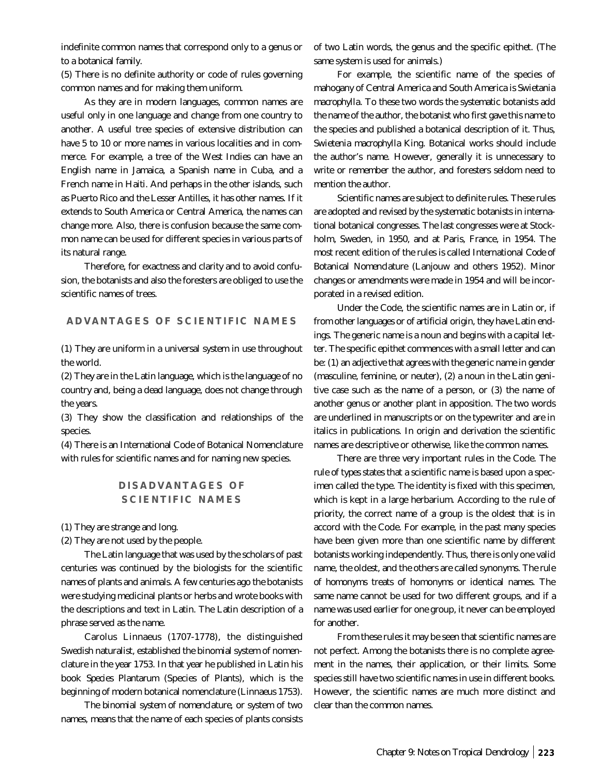indefinite common names that correspond only to a genus or to a botanical family.

(5) There is no definite authority or code of rules governing common names and for making them uniform.

As they are in modern languages, common names are useful only in one language and change from one country to another. A useful tree species of extensive distribution can have 5 to 10 or more names in various localities and in commerce. For example, a tree of the West Indies can have an English name in Jamaica, a Spanish name in Cuba, and a French name in Haiti. And perhaps in the other islands, such as Puerto Rico and the Lesser Antilles, it has other names. If it extends to South America or Central America, the names can change more. Also, there is confusion because the same common name can be used for different species in various parts of its natural range.

Therefore, for exactness and clarity and to avoid confusion, the botanists and also the foresters are obliged to use the scientific names of trees.

## **ADVANTAGES OF SCIENTIFIC NAMES**

(1) They are uniform in a universal system in use throughout the world.

(2) They are in the Latin language, which is the language of no country and, being a dead language, does not change through the years.

(3) They show the classification and relationships of the species.

(4) There is an International Code of Botanical Nomenclature with rules for scientific names and for naming new species.

## **DISADVANTAGES OF SCIENTIFIC NAMES**

(1) They are strange and long.

(2) They are not used by the people.

The Latin language that was used by the scholars of past centuries was continued by the biologists for the scientific names of plants and animals. A few centuries ago the botanists were studying medicinal plants or herbs and wrote books with the descriptions and text in Latin. The Latin description of a phrase served as the name.

Carolus Linnaeus (1707-1778), the distinguished Swedish naturalist, established the binomial system of nomenclature in the year 1753. In that year he published in Latin his book *Species Plantarum* (Species of Plants), which is the beginning of modern botanical nomenclature (Linnaeus 1753).

*The binomial system of nomenclature*, or system of two names, means that the name of each species of plants consists of two Latin words, the genus and the specific epithet. (The same system is used for animals.)

For example, the scientific name of the species of mahogany of Central America and South America is *Swietania macrophylla*. To these two words the systematic botanists add the name of the author, the botanist who first gave this name to the species and published a botanical description of it. Thus, *Swietenia macrophylla* King. Botanical works should include the author's name. However, generally it is unnecessary to write or remember the author, and foresters seldom need to mention the author.

Scientific names are subject to definite rules. These rules are adopted and revised by the systematic botanists in international botanical congresses. The last congresses were at Stockholm, Sweden, in 1950, and at Paris, France, in 1954. The most recent edition of the rules is called *International Code of Botanical Nomenclature* (Lanjouw and others 1952). Minor changes or amendments were made in 1954 and will be incorporated in a revised edition.

Under the Code, the scientific names are in Latin or, if from other languages or of artificial origin, they have Latin endings. The generic name is a noun and begins with a capital letter. The specific epithet commences with a small letter and can be: (1) an adjective that agrees with the generic name in gender (masculine, feminine, or neuter), (2) a noun in the Latin genitive case such as the name of a person, or (3) the name of another genus or another plant in apposition. The two words are underlined in manuscripts or on the typewriter and are in italics in publications. In origin and derivation the scientific names are descriptive or otherwise, like the common names.

There are three very important rules in the Code. The *rule of types* states that a scientific name is based upon a specimen called the type. The identity is fixed with this specimen, which is kept in a large herbarium. According to the *rule of priority*, the correct name of a group is the oldest that is in accord with the Code. For example, in the past many species have been given more than one scientific name by different botanists working independently. Thus, there is only one valid name, the oldest, and the others are called synonyms. The *rule of homonyms* treats of homonyms or identical names. The same name cannot be used for two different groups, and if a name was used earlier for one group, it never can be employed for another.

From these rules it may be seen that scientific names are not perfect. Among the botanists there is no complete agreement in the names, their application, or their limits. Some species still have two scientific names in use in different books. However, the scientific names are much more distinct and clear than the common names.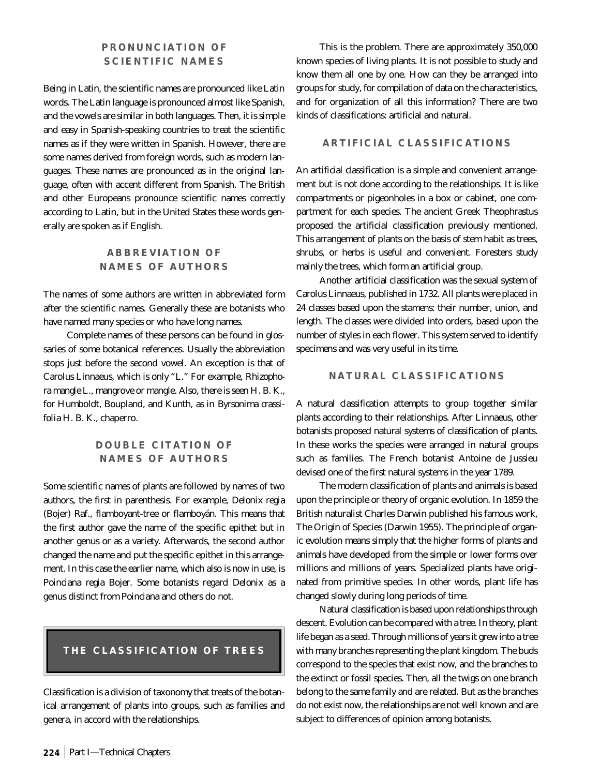# **PRONUNCIATION OF SCIENTIFIC NAMES**

Being in Latin, the scientific names are pronounced like Latin words. The Latin language is pronounced almost like Spanish, and the vowels are similar in both languages. Then, it is simple and easy in Spanish-speaking countries to treat the scientific names as if they were written in Spanish. However, there are some names derived from foreign words, such as modern languages. These names are pronounced as in the original language, often with accent different from Spanish. The British and other Europeans pronounce scientific names correctly according to Latin, but in the United States these words generally are spoken as if English.

# **ABBREVIATION OF NAMES OF AUTHORS**

The names of some authors are written in abbreviated form after the scientific names. Generally these are botanists who have named many species or who have long names.

Complete names of these persons can be found in glossaries of some botanical references. Usually the abbreviation stops just before the second vowel. An exception is that of Carolus Linnaeus, which is only "L." For example, *Rhizophora mangle* L., mangrove or mangle. Also, there is seen H. B. K., for Humboldt, Boupland, and Kunth, as in *Byrsonima crassifolia* H. B. K., chaperro.

## **DOUBLE CITATION OF NAMES OF AUTHORS**

Some scientific names of plants are followed by names of two authors, the first in parenthesis. For example, *Delonix regia* (Bojer) Raf., flamboyant-tree or flamboyán. This means that the first author gave the name of the specific epithet but in another genus or as a variety. Afterwards, the second author changed the name and put the specific epithet in this arrangement. In this case the earlier name, which also is now in use, is *Poinciana regia* Bojer. Some botanists regard *Delonix* as a genus distinct from *Poinciana* and others do not.

# **THE CLASSIFICATION OF TREES**

*Classification* is a division of taxonomy that treats of the botanical arrangement of plants into groups, such as families and genera, in accord with the relationships.

This is the problem. There are approximately 350,000 known species of living plants. It is not possible to study and know them all one by one. How can they be arranged into groups for study, for compilation of data on the characteristics, and for organization of all this information? There are two kinds of classifications: artificial and natural.

## **ARTIFICIAL CLASSIFICATIONS**

An *artificial classification* is a simple and convenient arrangement but is not done according to the relationships. It is like compartments or pigeonholes in a box or cabinet, one compartment for each species. The ancient Greek Theophrastus proposed the artificial classification previously mentioned. This arrangement of plants on the basis of stem habit as trees, shrubs, or herbs is useful and convenient. Foresters study mainly the trees, which form an artificial group.

Another artificial classification was the sexual system of Carolus Linnaeus, published in 1732. All plants were placed in 24 classes based upon the stamens: their number, union, and length. The classes were divided into orders, based upon the number of styles in each flower. This system served to identify specimens and was very useful in its time.

#### **NATURAL CLASSIFICATIONS**

A *natural classification* attempts to group together similar plants according to their relationships. After Linnaeus, other botanists proposed natural systems of classification of plants. In these works the species were arranged in natural groups such as families. The French botanist Antoine de Jussieu devised one of the first natural systems in the year 1789.

The modern classification of plants and animals is based upon the principle or theory of organic evolution. In 1859 the British naturalist Charles Darwin published his famous work, The Origin of Species (Darwin 1955). The principle of organic evolution means simply that the higher forms of plants and animals have developed from the simple or lower forms over millions and millions of years. Specialized plants have originated from primitive species. In other words, plant life has changed slowly during long periods of time.

Natural classification is based upon relationships through descent. Evolution can be compared with a tree. In theory, plant life began as a seed. Through millions of years it grew into a tree with many branches representing the plant kingdom. The buds correspond to the species that exist now, and the branches to the extinct or fossil species. Then, all the twigs on one branch belong to the same family and are related. But as the branches do not exist now, the relationships are not well known and are subject to differences of opinion among botanists.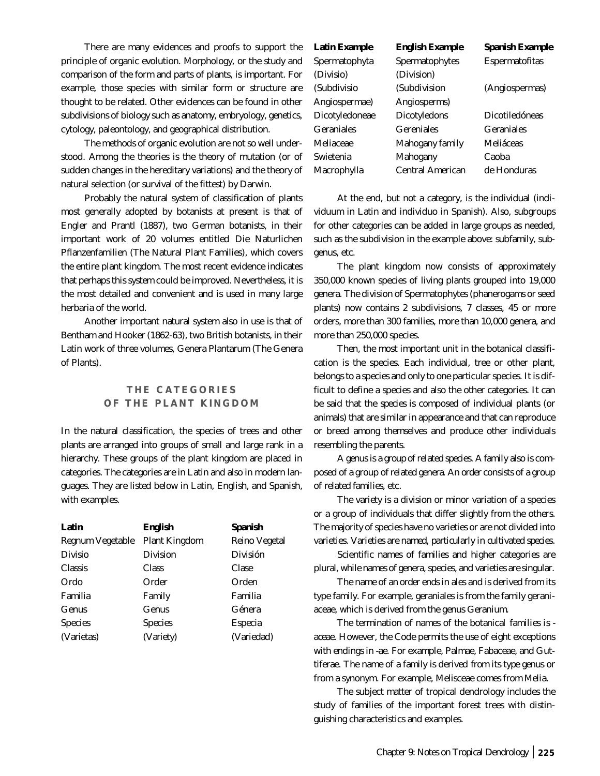There are many evidences and proofs to support the principle of organic evolution. Morphology, or the study and comparison of the form and parts of plants, is important. For example, those species with similar form or structure are thought to be related. Other evidences can be found in other subdivisions of biology such as anatomy, embryology, genetics, cytology, paleontology, and geographical distribution.

The methods of organic evolution are not so well understood. Among the theories is the theory of mutation (or of sudden changes in the hereditary variations) and the theory of natural selection (or survival of the fittest) by Darwin.

Probably the natural system of classification of plants most generally adopted by botanists at present is that of Engler and Prantl (1887), two German botanists, in their important work of 20 volumes entitled Die Naturlichen Pflanzenfamilien (The Natural Plant Families), which covers the entire plant kingdom. The most recent evidence indicates that perhaps this system could be improved. Nevertheless, it is the most detailed and convenient and is used in many large herbaria of the world.

Another important natural system also in use is that of Bentham and Hooker (1862-63), two British botanists, in their Latin work of three volumes, Genera Plantarum (The Genera of Plants).

## **THE CATEGORIES OF THE PLANT KINGDOM**

In the natural classification, the species of trees and other plants are arranged into groups of small and large rank in a hierarchy. These groups of the plant kingdom are placed in categories. The categories are in Latin and also in modern languages. They are listed below in Latin, English, and Spanish, with examples.

| Latin                   | English              | Spanish              |
|-------------------------|----------------------|----------------------|
| <b>Regnum Vegetable</b> | <b>Plant Kingdom</b> | <b>Reino Vegetal</b> |
| <b>Divisio</b>          | <b>Division</b>      | <b>División</b>      |
| <b>Classis</b>          | <b>Class</b>         | <b>Clase</b>         |
| Ordo                    | Order                | Orden                |
| Familia                 | Family               | Familia              |
| <b>Genus</b>            | Genus                | Génera               |
| <b>Species</b>          | <b>Species</b>       | <b>Especia</b>       |
| (Varietas)              | (Variety)            | (Variedad)           |

| Latin Example  | <b>English Example</b>  | <b>Spanish Example</b> |
|----------------|-------------------------|------------------------|
| Spermatophyta  | Spermatophytes          | <b>Espermatofitas</b>  |
| (Divisio)      | (Division)              |                        |
| (Subdivisio    | (Subdivision            | (Angiospermas)         |
| Angiospermae)  | Angiosperms)            |                        |
| Dicotyledoneae | Dicotyledons            | Dicotiledóneas         |
| Geraniales     | <b>Gereniales</b>       | <b>Geraniales</b>      |
| Meliaceae      | <b>Mahogany family</b>  | Meliáceas              |
| Swietenia      | Mahogany                | Caoba                  |
| Macrophylla    | <b>Central American</b> | de Honduras            |
|                |                         |                        |

At the end, but not a category, is the individual (individuum in Latin and individuo in Spanish). Also, subgroups for other categories can be added in large groups as needed, such as the subdivision in the example above: subfamily, subgenus, etc.

The plant kingdom now consists of approximately 350,000 known species of living plants grouped into 19,000 genera. The division of Spermatophytes (phanerogams or seed plants) now contains 2 subdivisions, 7 classes, 45 or more orders, more than 300 families, more than 10,000 genera, and more than 250,000 species.

Then, the most important unit in the botanical classification is the species. Each individual, tree or other plant, belongs to a species and only to one particular species. It is difficult to define a species and also the other categories. It can be said that the *species* is composed of individual plants (or animals) that are similar in appearance and that can reproduce or breed among themselves and produce other individuals resembling the parents.

A *genus* is a *group of related species*. A *family* also is composed of a group of *related genera*. An *order* consists of a group of *related families*, etc.

The *variety* is a division or minor variation of a species or a group of individuals that differ slightly from the others. The majority of species have no varieties or are not divided into varieties. *Varieties are named, particularly in cultivated species*.

Scientific names of families and higher categories are plural, while names of genera, species, and varieties are singular.

The name of an *order ends in ales* and is derived from its type family. For example, geraniales is from the family geraniaceae, which is derived from the genus *Geranium*.

The termination of names of the botanical *families is aceae*. However, the Code permits the use of eight exceptions with endings in *-ae*. For example, Palmae, Fabaceae, and Guttiferae. The name of a family is derived *from its type genus* or from a synonym. For example, Melisceae comes from *Melia*.

The subject matter of tropical dendrology includes the study of families of the important forest trees with distinguishing characteristics and examples.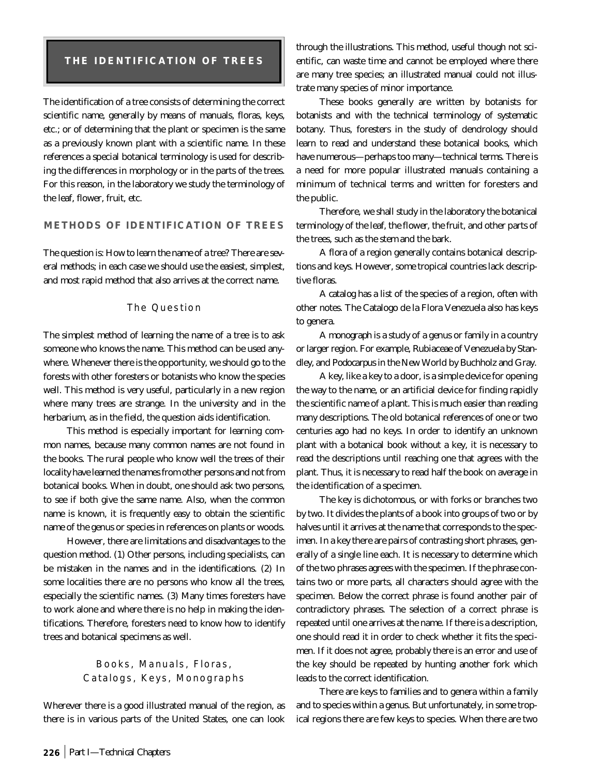## **THE IDENTIFICATION OF TREES**

The identification of a tree consists of determining the correct scientific name, generally by means of manuals, floras, keys, etc.; or of determining that the plant or specimen is the same as a previously known plant with a scientific name. In these references a special botanical terminology is used for describing the differences in morphology or in the parts of the trees. For this reason, in the laboratory we study the terminology of the leaf, flower, fruit, etc.

## **METHODS OF IDENTIFICATION OF TREES**

The question is: How to learn the name of a tree? There are several methods; in each case we should use the easiest, simplest, and most rapid method that also arrives at the correct name.

## The Question

The simplest method of learning the name of a tree is to ask someone who knows the name. This method can be used anywhere. Whenever there is the opportunity, we should go to the forests with other foresters or botanists who know the species well. This method is very useful, particularly in a new region where many trees are strange. In the university and in the herbarium, as in the field, the question aids identification.

This method is especially important for learning common names, because many common names are not found in the books. The rural people who know well the trees of their locality have learned the names from other persons and not from botanical books. When in doubt, one should ask two persons, to see if both give the same name. Also, when the common name is known, it is frequently easy to obtain the scientific name of the genus or species in references on plants or woods.

However, there are limitations and disadvantages to the question method. (1) Other persons, including specialists, can be mistaken in the names and in the identifications. (2) In some localities there are no persons who know all the trees, especially the scientific names. (3) Many times foresters have to work alone and where there is no help in making the identifications. Therefore, foresters need to know how to identify trees and botanical specimens as well.

## Books, Manuals, Floras, Catalogs, Keys, Monographs

Wherever there is a good illustrated manual of the region, as there is in various parts of the United States, one can look through the illustrations. This method, useful though not scientific, can waste time and cannot be employed where there are many tree species; an illustrated manual could not illustrate many species of minor importance.

These books generally are written by botanists for botanists and with the technical terminology of systematic botany. Thus, foresters in the study of dendrology should learn to read and understand these botanical books, which have numerous—perhaps too many—technical terms. There is a need for more popular illustrated manuals containing a minimum of technical terms and written for foresters and the public.

Therefore, we shall study in the laboratory the botanical terminology of the *leaf*, the *flower*, the *fruit*, and other parts of the trees, such as the *stem* and the *bark*.

A *flora* of a region generally contains botanical descriptions and keys. However, some tropical countries lack descriptive floras.

A *catalog* has a list of the species of a region, often with other notes. The Catalogo de la Flora Venezuela also has keys to genera.

A *monograph* is a study of a genus or family in a country or larger region. For example, Rubiaceae of Venezuela by Standley, and *Podocarpus* in the New World by Buchholz and Gray.

A *key*, like a key to a door, is a simple device for opening the way to the name, or an artificial device for finding rapidly the scientific name of a plant. This is much easier than reading many descriptions. The old botanical references of one or two centuries ago had no keys. In order to identify an unknown plant with a botanical book without a key, it is necessary to read the descriptions until reaching one that agrees with the plant. Thus, it is necessary to read half the book on average in the identification of a specimen.

The key is dichotomous, or with forks or branches two by two. It divides the plants of a book into groups of two or by halves until it arrives at the name that corresponds to the specimen. In a key there are pairs of contrasting short phrases, generally of a single line each. It is necessary to determine which of the two phrases agrees with the specimen. If the phrase contains two or more parts, all characters should agree with the specimen. Below the correct phrase is found another pair of contradictory phrases. The selection of a correct phrase is repeated until one arrives at the name. If there is a description, one should read it in order to check whether it fits the specimen. If it does not agree, probably there is an error and use of the key should be repeated by hunting another fork which leads to the correct identification.

There are keys to families and to genera within a family and to species within a genus. But unfortunately, in some tropical regions there are few keys to species. When there are two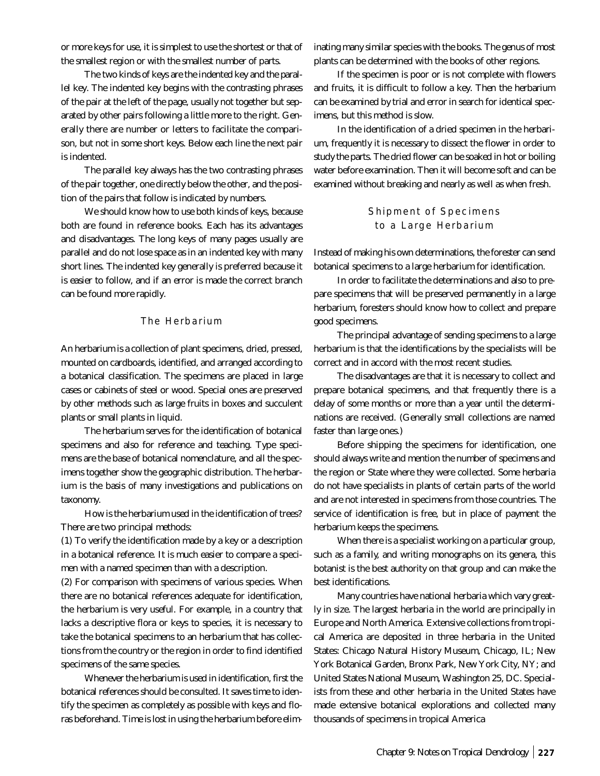or more keys for use, it is simplest to use the shortest or that of the smallest region or with the smallest number of parts.

The *two kinds of keys are the indented key and the parallel key*. The indented key begins with the contrasting phrases of the pair at the left of the page, usually not together but separated by other pairs following a little more to the right. Generally there are number or letters to facilitate the comparison, but not in some short keys. Below each line the next pair is indented.

The parallel key always has the two contrasting phrases of the pair together, one directly below the other, and the position of the pairs that follow is indicated by numbers.

We should know how to use both kinds of keys, because both are found in reference books. Each has its advantages and disadvantages. The long keys of many pages usually are parallel and do not lose space as in an indented key with many short lines. The indented key generally is preferred because it is easier to follow, and if an error is made the correct branch can be found more rapidly.

## The Herbarium

An herbarium is a collection of plant specimens, dried, pressed, mounted on cardboards, identified, and arranged according to a botanical classification. The specimens are placed in large cases or cabinets of steel or wood. Special ones are preserved by other methods such as large fruits in boxes and succulent plants or small plants in liquid.

The herbarium serves for the identification of botanical specimens and also for reference and teaching. Type specimens are the base of botanical nomenclature, and all the specimens together show the geographic distribution. The herbarium is the basis of many investigations and publications on taxonomy.

How is the herbarium used in the identification of trees? There are two principal methods:

(1) To verify the identification made by a key or a description in a botanical reference. It is much easier to compare a specimen with a named specimen than with a description.

(2) For comparison with specimens of various species. When there are no botanical references adequate for identification, the herbarium is very useful. For example, in a country that lacks a descriptive flora or keys to species, it is necessary to take the botanical specimens to an herbarium that has collections from the country or the region in order to find identified specimens of the same species.

Whenever the herbarium is used in identification, first the botanical references should be consulted. It saves time to identify the specimen as completely as possible with keys and floras beforehand. Time is lost in using the herbarium before eliminating many similar species with the books. The genus of most plants can be determined with the books of other regions.

If the specimen is poor or is not complete with flowers and fruits, it is difficult to follow a key. Then the herbarium can be examined by trial and error in search for identical specimens, but this method is slow.

In the identification of a dried specimen in the herbarium, frequently it is necessary to dissect the flower in order to study the parts. The dried flower can be soaked in hot or boiling water before examination. Then it will become soft and can be examined without breaking and nearly as well as when fresh.

## Shipment of Specimens to a Large Herbarium

Instead of making his own determinations, the forester can send botanical specimens to a large herbarium for identification.

In order to facilitate the determinations and also to prepare specimens that will be preserved permanently in a large herbarium, foresters should know how to collect and prepare good specimens.

The principal advantage of sending specimens to a large herbarium is that the identifications by the specialists will be correct and in accord with the most recent studies.

The disadvantages are that it is necessary to collect and prepare botanical specimens, and that frequently there is a delay of some months or more than a year until the determinations are received. (Generally small collections are named faster than large ones.)

Before shipping the specimens for identification, one should always write and mention the number of specimens and the region or State where they were collected. Some herbaria do not have specialists in plants of certain parts of the world and are not interested in specimens from those countries. The service of identification is free, but in place of payment the herbarium keeps the specimens.

When there is a specialist working on a particular group, such as a family, and writing monographs on its genera, this botanist is the best authority on that group and can make the best identifications.

Many countries have national herbaria which vary greatly in size. The largest herbaria in the world are principally in Europe and North America. Extensive collections from tropical America are deposited in three herbaria in the United States: Chicago Natural History Museum, Chicago, IL; New York Botanical Garden, Bronx Park, New York City, NY; and United States National Museum, Washington 25, DC. Specialists from these and other herbaria in the United States have made extensive botanical explorations and collected many thousands of specimens in tropical America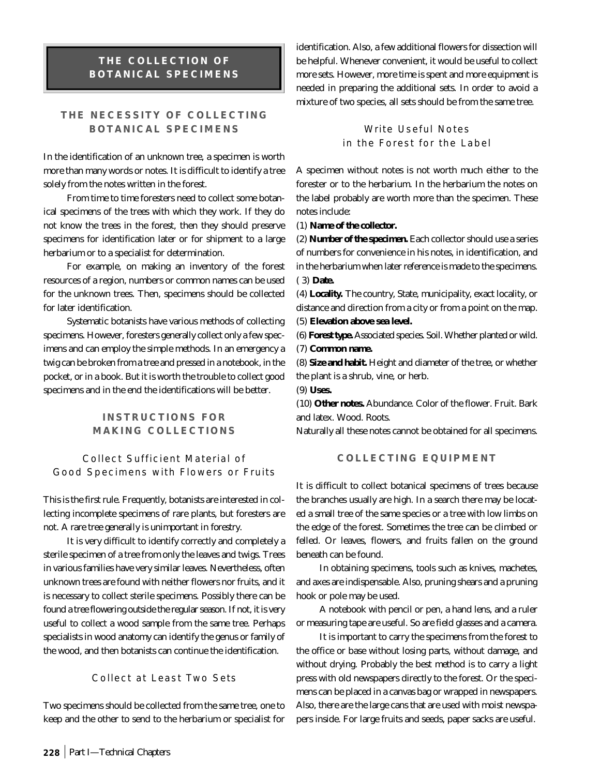# **THE COLLECTION OF BOTANICAL SPECIMENS**

# **THE NECESSITY OF COLLECTING BOTANICAL SPECIMENS**

In the identification of an unknown tree, a specimen is worth more than many words or notes. It is difficult to identify a tree solely from the notes written in the forest.

From time to time foresters need to collect some botanical specimens of the trees with which they work. If they do not know the trees in the forest, then they should preserve specimens for identification later or for shipment to a large herbarium or to a specialist for determination.

For example, on making an inventory of the forest resources of a region, numbers or common names can be used for the unknown trees. Then, specimens should be collected for later identification.

Systematic botanists have various methods of collecting specimens. However, foresters generally collect only a few specimens and can employ the simple methods. In an emergency a twig can be broken from a tree and pressed in a notebook, in the pocket, or in a book. But it is worth the trouble to collect good specimens and in the end the identifications will be better.

## **INSTRUCTIONS FOR MAKING COLLECTIONS**

## Collect Sufficient Material of Good Specimens with Flowers or Fruits

This is the first rule. Frequently, botanists are interested in collecting incomplete specimens of rare plants, but foresters are not. *A rare tree generally is unimportant in forestry*.

It is very difficult to identify correctly and completely a sterile specimen of a tree from only the leaves and twigs. Trees in various families have very similar leaves. Nevertheless, often unknown trees are found with neither flowers nor fruits, and it is necessary to collect sterile specimens. Possibly there can be found a tree flowering outside the regular season. If not, it is very useful to collect a wood sample from the same tree. Perhaps specialists in wood anatomy can identify the genus or family of the wood, and then botanists can continue the identification.

#### Collect at Least Two Sets

Two specimens should be collected from the same tree, one to keep and the other to send to the herbarium or specialist for identification. Also, a few additional flowers for dissection will be helpful. Whenever convenient, it would be useful to collect more sets. However, more time is spent and more equipment is needed in preparing the additional sets. In order to avoid a mixture of two species, all sets should be from the same tree.

> Write Useful Notes in the Forest for the Label

A specimen without notes is not worth much either to the forester or to the herbarium. In the herbarium the notes on the label probably are worth more than the specimen. These notes include:

#### (1) **Name of the collector.**

(2) **Number of the specimen.** Each collector should use a series of numbers for convenience in his notes, in identification, and in the herbarium when later reference is made to the specimens. ( 3) **Date.**

(4) **Locality.** The country, State, municipality, exact locality, or distance and direction from a city or from a point on the map.

(5) **Elevation above sea level.**

(6) **Forest type.** Associated species. Soil. Whether planted or wild. (7) **Common name.**

(8) **Size and habit.** Height and diameter of the tree, or whether the plant is a shrub, vine, or herb.

(9) **Uses.**

(10) **Other notes.** Abundance. Color of the flower. Fruit. Bark and latex. Wood. Roots.

Naturally all these notes cannot be obtained for all specimens.

## **COLLECTING EQUIPMENT**

It is difficult to collect botanical specimens of trees because the branches usually are high. In a search there may be located a small tree of the same species or a tree with low limbs on the edge of the forest. Sometimes the tree can be climbed or felled. Or leaves, flowers, and fruits fallen on the ground beneath can be found.

In obtaining specimens, tools such as knives, machetes, and axes are indispensable. Also, pruning shears and a pruning hook or pole may be used.

A notebook with pencil or pen, a hand lens, and a ruler or measuring tape are useful. So are field glasses and a camera.

It is important to carry the specimens from the forest to the office or base without losing parts, without damage, and without drying. Probably the best method is to carry a light press with old newspapers directly to the forest. Or the specimens can be placed in a canvas bag or wrapped in newspapers. Also, there are the large cans that are used with moist newspapers inside. For large fruits and seeds, paper sacks are useful.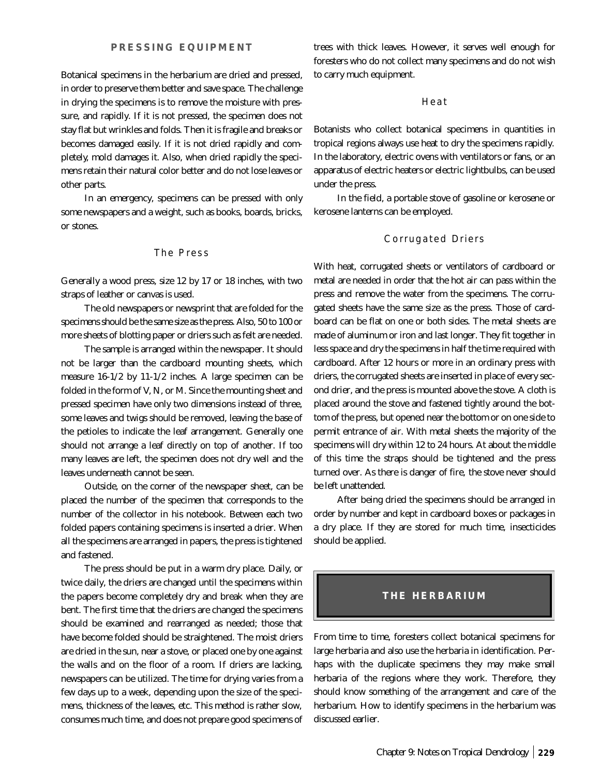Botanical specimens in the herbarium are dried and pressed, in order to preserve them better and save space. The challenge in drying the specimens is to remove the moisture with pressure, and rapidly. If it is not pressed, the specimen does not stay flat but wrinkles and folds. Then it is fragile and breaks or becomes damaged easily. If it is not dried rapidly and completely, mold damages it. Also, when dried rapidly the specimens retain their natural color better and do not lose leaves or other parts.

In an emergency, specimens can be pressed with only some newspapers and a weight, such as books, boards, bricks, or stones.

## The Press

Generally a wood press, size 12 by 17 or 18 inches, with two straps of leather or canvas is used.

The old newspapers or newsprint that are folded for the specimens should be the same size as the press. Also, 50 to 100 or more sheets of blotting paper or driers such as felt are needed.

The sample is arranged within the newspaper. It should not be larger than the cardboard mounting sheets, which measure 16-1/2 by 11-1/2 inches. A large specimen can be folded in the form of V, N, or M. Since the mounting sheet and pressed specimen have only two dimensions instead of three, some leaves and twigs should be removed, leaving the base of the petioles to indicate the leaf arrangement. Generally one should not arrange a leaf directly on top of another. If too many leaves are left, the specimen does not dry well and the leaves underneath cannot be seen.

Outside, on the corner of the newspaper sheet, can be placed the number of the specimen that corresponds to the number of the collector in his notebook. Between each two folded papers containing specimens is inserted a drier. When all the specimens are arranged in papers, the press is tightened and fastened.

The press should be put in a warm dry place. Daily, or twice daily, the driers are changed until the specimens within the papers become completely dry and break when they are bent. The first time that the driers are changed the specimens should be examined and rearranged as needed; those that have become folded should be straightened. The moist driers are dried in the sun, near a stove, or placed one by one against the walls and on the floor of a room. If driers are lacking, newspapers can be utilized. The time for drying varies from a few days up to a week, depending upon the size of the specimens, thickness of the leaves, etc. This method is rather slow, consumes much time, and does not prepare good specimens of

trees with thick leaves. However, it serves well enough for foresters who do not collect many specimens and do not wish to carry much equipment.

Heat

Botanists who collect botanical specimens in quantities in tropical regions always use heat to dry the specimens rapidly. In the laboratory, electric ovens with ventilators or fans, or an apparatus of electric heaters or electric lightbulbs, can be used under the press.

In the field, a portable stove of gasoline or kerosene or kerosene lanterns can be employed.

## Corrugated Driers

With heat, corrugated sheets or ventilators of cardboard or metal are needed in order that the hot air can pass within the press and remove the water from the specimens. The corrugated sheets have the same size as the press. Those of cardboard can be flat on one or both sides. The metal sheets are made of aluminum or iron and last longer. They fit together in less space and dry the specimens in half the time required with cardboard. After 12 hours or more in an ordinary press with driers, the corrugated sheets are inserted in place of every second drier, and the press is mounted above the stove. A cloth is placed around the stove and fastened tightly around the bottom of the press, but opened near the bottom or on one side to permit entrance of air. With metal sheets the majority of the specimens will dry within 12 to 24 hours. At about the middle of this time the straps should be tightened and the press turned over. As there is danger of fire, *the stove never should be left unattended*.

After being dried the specimens should be arranged in order by number and kept in cardboard boxes or packages in a dry place. If they are stored for much time, insecticides should be applied.

## **THE HERBARIUM**

From time to time, foresters collect botanical specimens for large herbaria and also use the herbaria in identification. Perhaps with the duplicate specimens they may make small herbaria of the regions where they work. Therefore, they should know something of the arrangement and care of the herbarium. How to identify specimens in the herbarium was discussed earlier.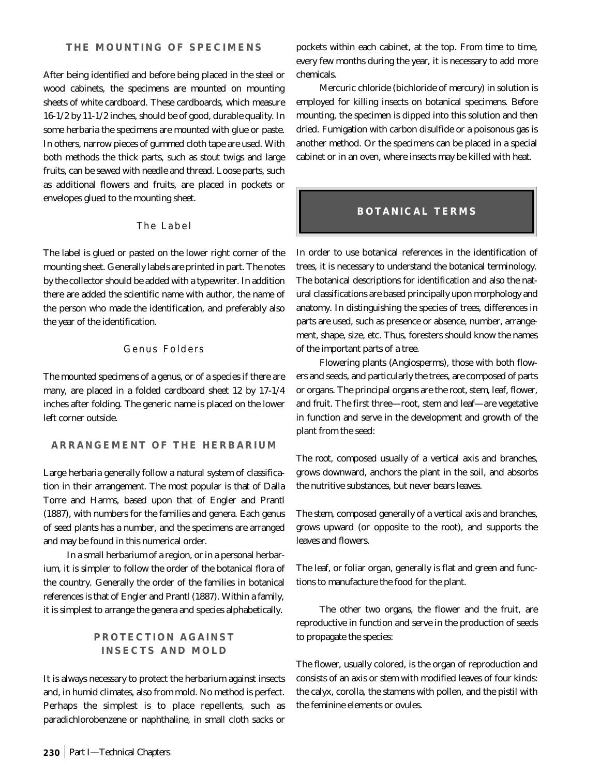After being identified and before being placed in the steel or wood cabinets, the specimens are mounted on mounting sheets of white cardboard. These cardboards, which measure 16-1/2 by 11-1/2 inches, should be of good, durable quality. In some herbaria the specimens are mounted with glue or paste. In others, narrow pieces of gummed cloth tape are used. With both methods the thick parts, such as stout twigs and large fruits, can be sewed with needle and thread. Loose parts, such as additional flowers and fruits, are placed in pockets or envelopes glued to the mounting sheet.

## The Label

The label is glued or pasted on the lower right corner of the mounting sheet. Generally labels are printed in part. The notes by the collector should be added with a typewriter. In addition there are added the scientific name with author, the name of the person who made the identification, and preferably also the year of the identification.

#### Genus Folders

The mounted specimens of a genus, or of a species if there are many, are placed in a folded cardboard sheet 12 by 17-1/4 inches after folding. The generic name is placed on the lower left corner outside.

#### **ARRANGEMENT OF THE HERBARIUM**

Large herbaria generally follow a natural system of classification in their arrangement. The most popular is that of Dalla Torre and Harms, based upon that of Engler and Prantl (1887), with numbers for the families and genera. Each genus of seed plants has a number, and the specimens are arranged and may be found in this numerical order.

In a small herbarium of a region, or in a personal herbarium, it is simpler to follow the order of the botanical flora of the country. Generally the order of the families in botanical references is that of Engler and Prantl (1887). Within a family, it is simplest to arrange the genera and species alphabetically.

# **PROTECTION AGAINST INSECTS AND MOLD**

It is always necessary to protect the herbarium against insects and, in humid climates, also from mold. No method is perfect. Perhaps the simplest is to place repellents, such as paradichlorobenzene or naphthaline, in small cloth sacks or pockets within each cabinet, at the top. From time to time, every few months during the year, it is necessary to add more chemicals.

Mercuric chloride (bichloride of mercury) in solution is employed for killing insects on botanical specimens. Before mounting, the specimen is dipped into this solution and then dried. Fumigation with carbon disulfide or a poisonous gas is another method. Or the specimens can be placed in a special cabinet or in an oven, where insects may be killed with heat.

## **BOTANICAL TERMS**

In order to use botanical references in the identification of trees, it is necessary to understand the botanical terminology. The botanical descriptions for identification and also the natural classifications are based principally upon morphology and anatomy. In distinguishing the species of trees, differences in parts are used, such as presence or absence, number, arrangement, shape, size, etc. Thus, foresters should know the names of the important parts of a tree.

Flowering plants (Angiosperms), those with both flowers and seeds, and particularly the trees, are composed of parts or organs. The principal organs are the *root*, *stem*, *leaf*, *flower*, and *fruit*. The first three—root, stem and leaf—are vegetative in function and serve in the development and growth of the plant from the seed:

The *root*, composed usually of a vertical axis and branches, grows downward, anchors the plant in the soil, and absorbs the nutritive substances, but never bears leaves.

The *stem*, composed generally of a vertical axis and branches, grows upward (or opposite to the root), and supports the leaves and flowers.

The *leaf*, or foliar organ, generally is flat and green and functions to manufacture the food for the plant.

The other two organs, the flower and the fruit, are reproductive in function and serve in the production of seeds to propagate the species:

The *flower*, usually colored, is the organ of reproduction and consists of an axis or stem with modified leaves of four kinds: the calyx, corolla, the stamens with pollen, and the pistil with the feminine elements or ovules.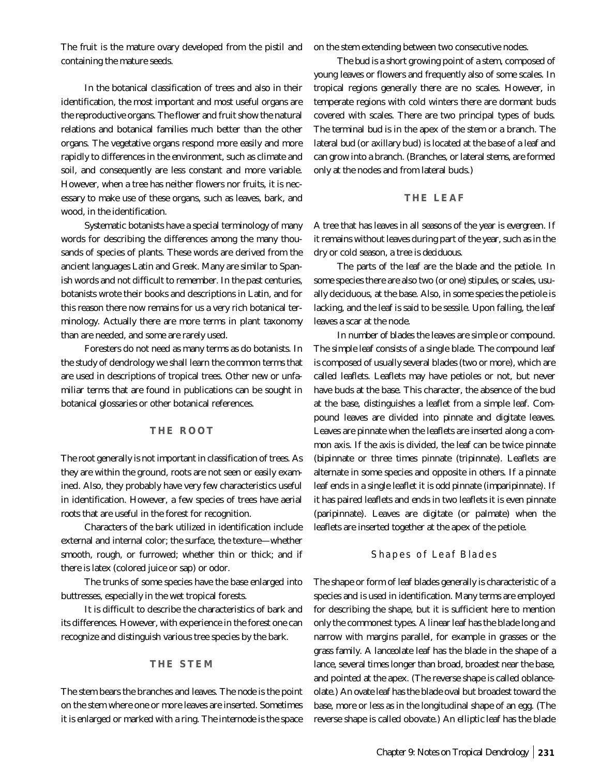The *fruit* is the mature ovary developed from the pistil and containing the mature seeds.

In the botanical classification of trees and also in their identification, the most important and most useful organs are the reproductive organs. The flower and fruit show the natural relations and botanical families much better than the other organs. The vegetative organs respond more easily and more rapidly to differences in the environment, such as climate and soil, and consequently are less constant and more variable. However, when a tree has neither flowers nor fruits, it is necessary to make use of these organs, such as leaves, bark, and wood, in the identification.

Systematic botanists have a special terminology of many words for describing the differences among the many thousands of species of plants. These words are derived from the ancient languages Latin and Greek. Many are similar to Spanish words and not difficult to remember. In the past centuries, botanists wrote their books and descriptions in Latin, and for this reason there now remains for us a very rich botanical terminology. Actually there are more terms in plant taxonomy than are needed, and some are rarely used.

Foresters do not need as many terms as do botanists. In the study of dendrology we shall learn the common terms that are used in descriptions of tropical trees. Other new or unfamiliar terms that are found in publications can be sought in botanical glossaries or other botanical references.

## **THE ROOT**

The root generally is not important in classification of trees. As they are within the ground, roots are not seen or easily examined. Also, they probably have very few characteristics useful in identification. However, a few species of trees have *aerial roots* that are useful in the forest for recognition.

Characters of the bark utilized in identification include external and internal color; the surface, the texture—whether smooth, rough, or furrowed; whether thin or thick; and if there is latex (colored juice or sap) or odor.

The trunks of some species have the base enlarged into buttresses, especially in the wet tropical forests.

It is difficult to describe the characteristics of bark and its differences. However, with experience in the forest one can recognize and distinguish various tree species by the bark.

#### **THE STEM**

The stem bears the branches and leaves. The *node* is the point on the stem where one or more leaves are inserted. Sometimes it is enlarged or marked with a ring. The *internode* is the space

on the stem extending between two consecutive nodes.

The *bud* is a short growing point of a stem, composed of young leaves or flowers and frequently also of some scales. In tropical regions generally there are no scales. However, in temperate regions with cold winters there are dormant buds covered with scales. There are two principal types of buds. The *terminal bud* is in the apex of the stem or a branch. The *lateral bud* (or axillary bud) is located at the base of a leaf and can grow into a branch. (Branches, or lateral stems, are formed only at the nodes and from lateral buds.)

#### **THE LEAF**

A tree that has leaves in all seasons of the year is *evergreen*. If it remains without leaves during part of the year, such as in the dry or cold season, a tree is *deciduous*.

The *parts of the leaf* are the *blade* and the *petiole*. In some species there are also two (or one) *stipules*, or scales, usually deciduous, at the base. Also, in some species the petiole is lacking, and the leaf is said to be sessile. Upon falling, the leaf leaves a scar at the node.

In *number of blades* the leaves are simple or compound. The *simple* leaf consists of a single blade. The compound leaf is composed of usually several blades (two or more), which are called *leaflets*. Leaflets may have petioles or not, but never have buds at the base. This character, the absence of the bud at the base, distinguishes a leaflet from a simple leaf. Compound leaves are divided into *pinnate* and *digitate* leaves. Leaves are *pinnate* when the leaflets are inserted along a common axis. If the axis is divided, the leaf can be twice pinnate (*bipinnate* or three times pinnate (*tripinnate*). Leaflets are alternate in some species and opposite in others. If a pinnate leaf ends in a single leaflet it is *odd pinnate* (*imparipinnate*). If it has paired leaflets and ends in two leaflets it is *even pinnate* (*paripinnate*). Leaves are *digitate* (or palmate) when the leaflets are inserted together at the apex of the petiole.

#### Shapes of Leaf Blades

The shape or form of leaf blades generally is characteristic of a species and is used in identification. Many terms are employed for describing the shape, but it is sufficient here to mention only the commonest types. A *linear* leaf has the blade long and narrow with margins parallel, for example in grasses or the grass family. A *lanceolate* leaf has the blade in the shape of a lance, several times longer than broad, broadest near the base, and pointed at the apex. (The reverse shape is called oblanceolate.) An *ovate* leaf has the blade oval but broadest toward the base, more or less as in the longitudinal shape of an egg. (The reverse shape is called obovate.) An *elliptic* leaf has the blade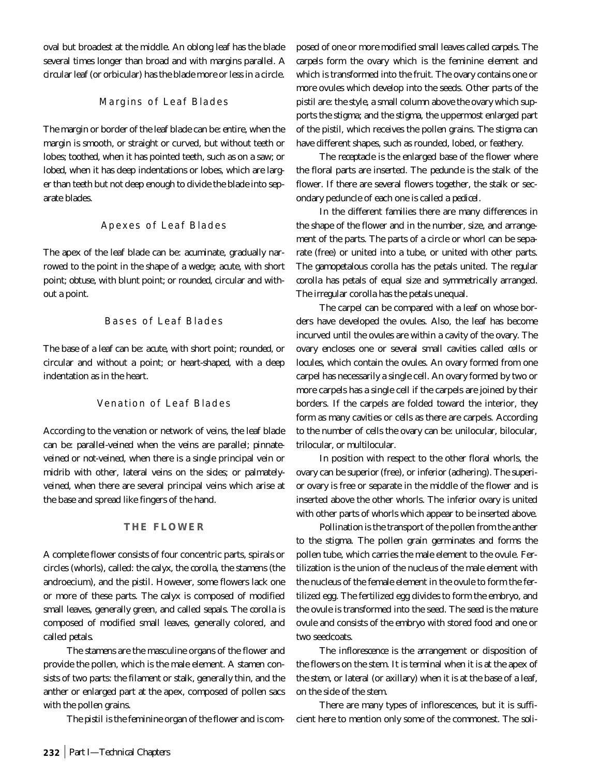oval but broadest at the middle. An *oblong* leaf has the blade several times longer than broad and with margins parallel. A *circular* leaf (or orbicular) has the blade more or less in a circle.

## Margins of Leaf Blades

The margin or border of the leaf blade can be: *entire*, when the margin is smooth, or straight or curved, but without teeth or lobes; *toothed*, when it has pointed teeth, such as on a saw; or *lobed*, when it has deep indentations or lobes, which are larger than teeth but not deep enough to divide the blade into separate blades.

#### Apexes of Leaf Blades

The apex of the leaf blade can be: *acuminate*, gradually narrowed to the point in the shape of a wedge; *acute*, with short point; *obtuse*, with blunt point; or *rounded*, circular and without a point.

### Bases of Leaf Blades

The base of a leaf can be: *acute*, with short point; *rounded*, or circular and without a point; or *heart-shaped*, with a deep indentation as in the heart.

## Venation of Leaf Blades

According to the venation or network of veins, the leaf blade can be: *parallel-veined* when the veins are parallel; *pinnateveined* or *not-veined*, when there is a single principal vein or midrib with other, lateral veins on the sides; or *palmatelyveined*, when there are several principal veins which arise at the base and spread like fingers of the hand.

#### **THE FLOWER**

A complete flower consists of four concentric parts, spirals or circles (whorls), called: the *calyx*, the *corolla*, the *stamens* (the androecium), and the *pistil*. However, some flowers lack one or more of these parts. The *calyx* is composed of modified small leaves, generally green, and called *sepals*. The *corolla* is composed of modified small leaves, generally colored, and called *petals*.

The *stamens* are the masculine organs of the flower and provide the pollen, which is the male element. A *stamen* consists of two parts: the *filament* or stalk, generally thin, and the *anther* or enlarged part at the apex, composed of pollen sacs with the pollen grains.

The *pistil* is the feminine organ of the flower and is com-

posed of one or more modified small leaves called *carpels*. The *carpels* form the ovary which is the feminine element and which is transformed into the fruit. The ovary contains one or more ovules which develop into the seeds. Other parts of the pistil are: the *style*, a small column above the ovary which supports the stigma; and the *stigma*, the uppermost enlarged part of the pistil, which receives the pollen grains. The stigma can have different shapes, such as rounded, lobed, or feathery.

The *receptacle* is the enlarged base of the flower where the floral parts are inserted. The *peduncle* is the stalk of the flower. If there are several flowers together, the stalk or secondary peduncle of each one is called a *pedicel*.

In the different families there are many differences in the shape of the flower and in the number, size, and arrangement of the parts. The parts of a circle or whorl can be separate (free) or united into a tube, or united with other parts. The *gamopetalous* corolla has the petals united. The *regular corolla* has petals of equal size and symmetrically arranged. The *irregular* corolla has the petals unequal.

The carpel can be compared with a leaf on whose borders have developed the ovules. Also, the leaf has become incurved until the ovules are within a cavity of the ovary. The ovary encloses one or several small cavities called *cells* or *locules*, which contain the *ovules*. An ovary formed from one carpel has necessarily a single cell. An ovary formed by two or more carpels has a single cell if the carpels are joined by their borders. If the carpels are folded toward the interior, they form as many cavities or cells as there are carpels. According to the number of cells the ovary can be: unilocular, bilocular, trilocular, or multilocular.

In position with respect to the other floral whorls, the ovary can be *superior* (free), or *inferior* (adhering). The *superior ovary* is free or separate in the middle of the flower and is inserted above the other whorls. The *inferior ovary* is united with other parts of whorls which appear to be inserted above.

*Pollination* is the transport of the pollen from the anther to the stigma. The pollen grain germinates and forms the pollen tube, which carries the male element to the ovule. Fertilization is the union of the nucleus of the male element with the nucleus of the female element in the ovule to form the fertilized egg. The fertilized egg divides to form the embryo, and the ovule is transformed into the seed. The *seed* is the mature ovule and consists of the embryo with stored food and one or two seedcoats.

The *inflorescence* is the arrangement or disposition of the flowers on the stem. It is *terminal* when it is at the apex of the stem, or *lateral* (or axillary) when it is at the base of a leaf, on the side of the stem.

There are many types of inflorescences, but it is sufficient here to mention only some of the commonest. The *soli-*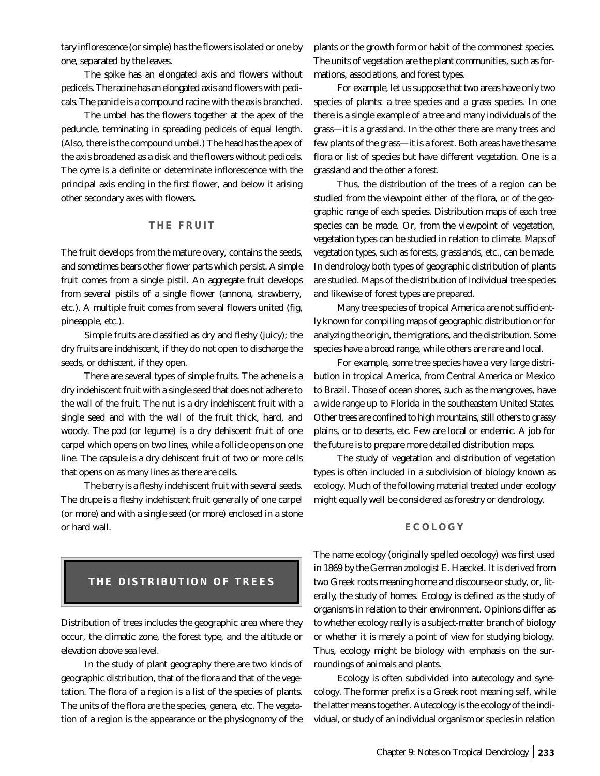*tary inflorescence* (or simple) has the flowers isolated or one by one, separated by the leaves.

The *spike* has an elongated axis and flowers without pedicels. The *racine* has an elongated axis and flowers with pedicals. The *panicle* is a compound racine with the axis branched.

The *umbel* has the flowers together at the apex of the peduncle, terminating in spreading pedicels of equal length. (Also, there is the compound umbel.) The *head* has the apex of the axis broadened as a disk and the flowers without pedicels. The *cyme* is a definite or determinate inflorescence with the principal axis ending in the first flower, and below it arising other secondary axes with flowers.

## **THE FRUIT**

The *fruit* develops from the mature ovary, contains the seeds, and sometimes bears other flower parts which persist. A *simple fruit* comes from a single pistil. An *aggregate fruit* develops from several pistils of a single flower (annona, strawberry, etc.). A *multiple fruit* comes from several flowers united (fig, pineapple, etc.).

Simple fruits are classified as *dry* and *fleshy* (juicy); the dry fruits are *indehiscent*, if they do not open to discharge the seeds, or *dehiscent*, if they open.

There are several types of simple fruits. The *achene* is a dry indehiscent fruit with a single seed that does not adhere to the wall of the fruit. The *nut* is a dry indehiscent fruit with a single seed and with the wall of the fruit thick, hard, and woody. The *pod* (or legume) is a dry dehiscent fruit of one carpel which opens on two lines, while a *follicle* opens on one line. The *capsule* is a dry dehiscent fruit of two or more cells that opens on as many lines as there are cells.

The berry is a fleshy indehiscent fruit with several seeds. The *drupe* is a fleshy indehiscent fruit generally of one carpel (or more) and with a single seed (or more) enclosed in a stone or hard wall.

## **THE DISTRIBUTION OF TREES**

Distribution of trees includes the geographic area where they occur, the climatic zone, the forest type, and the altitude or elevation above sea level.

In the study of plant geography there are two kinds of geographic distribution, that of the flora and that of the vegetation. The *flora* of a region is a list of the species of plants. The units of the flora are the species, genera, etc. The *vegetation* of a region is the appearance or the physiognomy of the

plants or the growth form or habit of the commonest species. The units of vegetation are the plant communities, such as formations, associations, and forest types.

For example, let us suppose that two areas have only two species of plants: a tree species and a grass species. In one there is a single example of a tree and many individuals of the grass—it is a grassland. In the other there are many trees and few plants of the grass—it is a forest. Both areas have the *same flora* or list of species but have *different vegetation*. One is a grassland and the other a forest.

Thus, the distribution of the trees of a region can be studied from the viewpoint either of the flora, or of the geographic range of each species. Distribution maps of each tree species can be made. Or, from the viewpoint of vegetation, vegetation types can be studied in relation to climate. *Maps of vegetation types*, such as forests, grasslands, etc., can be made. In dendrology both types of geographic distribution of plants are studied. Maps of the distribution of individual tree species and likewise of forest types are prepared.

Many tree species of tropical America are not sufficiently known for compiling maps of geographic distribution or for analyzing the origin, the migrations, and the distribution. Some species have a broad range, while others are rare and local.

For example, some tree species have a very large distribution in tropical America, from Central America or Mexico to Brazil. Those of ocean shores, such as the mangroves, have a wide range up to Florida in the southeastern United States. Other trees are confined to high mountains, still others to grassy plains, or to deserts, etc. Few are local or endemic. A job for the future is to prepare more detailed distribution maps.

The study of vegetation and distribution of vegetation types is often included in a subdivision of biology known as ecology. Much of the following material treated under ecology might equally well be considered as forestry or dendrology.

#### **ECOLOGY**

The name ecology (originally spelled oecology) was first used in 1869 by the German zoologist E. Haeckel. It is derived from two Greek roots meaning home and discourse or study, or, literally, the study of homes. *Ecology* is defined as the study of organisms in relation to their environment. Opinions differ as to whether ecology really is a subject-matter branch of biology or whether it is merely a point of view for studying biology. Thus, ecology might be biology with emphasis on the surroundings of animals and plants.

Ecology is often subdivided into autecology and synecology. The former prefix is a Greek root meaning self, while the latter means together. *Autecology* is the ecology of the individual, or study of an individual organism or species in relation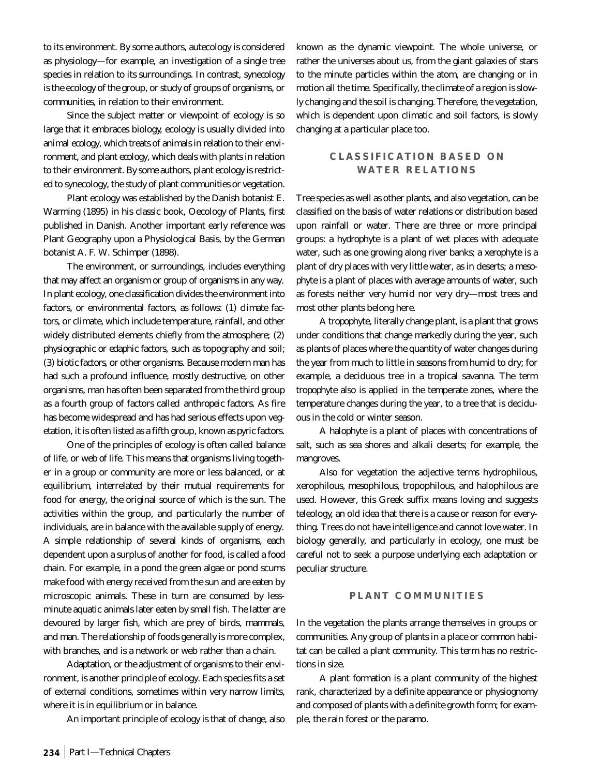to its environment. By some authors, autecology is considered as physiology—for example, an investigation of a single tree species in relation to its surroundings. In contrast, *synecology* is the ecology of the group, or study of groups of organisms, or communities, in relation to their environment.

Since the subject matter or viewpoint of ecology is so large that it embraces biology, ecology is usually divided into *animal ecology*, which treats of animals in relation to their environment, and *plant ecology*, which deals with plants in relation to their environment. By some authors, plant ecology is restricted to synecology, the study of plant communities or vegetation.

Plant ecology was established by the Danish botanist E. Warming (1895) in his classic book, Oecology of Plants, first published in Danish. Another important early reference was Plant Geography upon a Physiological Basis, by the German botanist A. F. W. Schimper (1898).

The *environment*, or surroundings, includes everything that may affect an organism or group of organisms in any way. In plant ecology, one classification divides the environment into factors, or environmental factors, as follows: (1) *climate factors*, or climate, which include temperature, rainfall, and other widely distributed elements chiefly from the atmosphere; (2) *physiographic or edaphic factors*, such as topography and soil; (3) *biotic factors*, or other organisms. Because modern man has had such a profound influence, mostly destructive, on other organisms, man has often been separated from the third group as a fourth group of factors called *anthropeic factors*. As fire has become widespread and has had serious effects upon vegetation, it is often listed as a fifth group, known as *pyric factors*.

One of the principles of ecology is often called *balance of life*, or *web of life*. This means that organisms living together in a group or community are more or less balanced, or at equilibrium, interrelated by their mutual requirements for food for energy, the original source of which is the sun. The activities within the group, and particularly the number of individuals, are in balance with the available supply of energy. A simple relationship of several kinds of organisms, each dependent upon a surplus of another for food, is called a *food chain*. For example, in a pond the green algae or pond scums make food with energy received from the sun and are eaten by microscopic animals. These in turn are consumed by lessminute aquatic animals later eaten by small fish. The latter are devoured by larger fish, which are prey of birds, mammals, and man. The relationship of foods generally is more complex, with branches, and is a network or web rather than a chain.

*Adaptation*, or the adjustment of organisms to their environment, is another principle of ecology. Each species fits a set of external conditions, sometimes within very narrow limits, where it is in equilibrium or in balance.

An important principle of ecology is that of *change*, also

known as the *dynamic viewpoint*. The whole universe, or rather the universes about us, from the giant galaxies of stars to the minute particles within the atom, are changing or in motion all the time. Specifically, the climate of a region is slowly changing and the soil is changing. Therefore, the vegetation, which is dependent upon climatic and soil factors, is slowly changing at a particular place too.

## **CLASSIFICATION BASED ON WATER RELATIONS**

Tree species as well as other plants, and also vegetation, can be classified on the basis of water relations or distribution based upon rainfall or water. There are three or more principal groups: a *hydrophyte* is a plant of wet places with adequate water, such as one growing along river banks; a *xerophyte* is a plant of dry places with very little water, as in deserts; a *mesophyte* is a plant of places with average amounts of water, such as forests neither very humid nor very dry—most trees and most other plants belong here.

A *tropophyte*, literally change plant, is a plant that grows under conditions that change markedly during the year, such as plants of places where the quantity of water changes during the year from much to little in seasons from humid to dry; for example, a deciduous tree in a tropical savanna. The term *tropophyte* also is applied in the temperate zones, where the temperature changes during the year, to a tree that is deciduous in the cold or winter season.

A *halophyte* is a plant of places with concentrations of salt, such as sea shores and alkali deserts; for example, the mangroves.

Also for vegetation the adjective terms hydrophilous, xerophilous, mesophilous, tropophilous, and halophilous are used. However, this Greek suffix means loving and suggests teleology, an old idea that there is a cause or reason for everything. Trees do not have intelligence and cannot love water. In biology generally, and particularly in ecology, one must be careful not to seek a purpose underlying each adaptation or peculiar structure.

## **PLANT COMMUNITIES**

In the vegetation the plants arrange themselves in groups or communities. Any group of plants in a place or common habitat can be called a *plant community*. This term has no restrictions in size.

A *plant formation* is a plant community of the highest rank, characterized by a definite appearance or physiognomy and composed of plants with a definite growth form; for example, the rain forest or the paramo.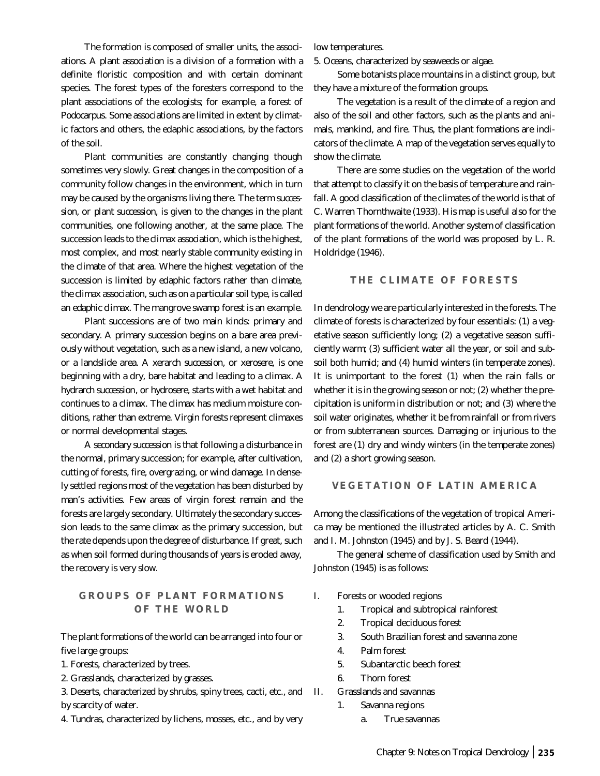The formation is composed of smaller units, the associations. A *plant association* is a division of a formation with a definite floristic composition and with certain dominant species. The forest types of the foresters correspond to the plant associations of the ecologists; for example, a forest of *Podocarpus*. Some associations are limited in extent by climatic factors and others, the edaphic associations, by the factors of the soil.

Plant communities are constantly changing though sometimes very slowly. Great changes in the composition of a community follow changes in the environment, which in turn may be caused by the organisms living there. The term *succession*, or *plant succession*, is given to the changes in the plant communities, one following another, at the same place. The succession leads to the *climax association*, which is the highest, most complex, and most nearly stable community existing in the climate of that area. Where the highest vegetation of the succession is limited by edaphic factors rather than climate, the climax association, such as on a particular soil type, is called an *edaphic climax*. The mangrove swamp forest is an example.

Plant successions are of two main kinds: primary and secondary. A *primary succession* begins on a bare area previously without vegetation, such as a new island, a new volcano, or a landslide area. A *xerarch succession*, or *xerosere*, is one beginning with a dry, bare habitat and leading to a climax. A *hydrarch succession*, or *hydrosere*, starts with a wet habitat and continues to a climax. The climax has medium moisture conditions, rather than extreme. Virgin forests represent climaxes or normal developmental stages.

A *secondary succession* is that following a disturbance in the normal, primary succession; for example, after cultivation, cutting of forests, fire, overgrazing, or wind damage. In densely settled regions most of the vegetation has been disturbed by man's activities. Few areas of virgin forest remain and the forests are largely secondary. Ultimately the secondary succession leads to the same climax as the primary succession, but the rate depends upon the degree of disturbance. If great, such as when soil formed during thousands of years is eroded away, the recovery is very slow.

## **GROUPS OF PLANT FORMATIONS OF THE WORLD**

The plant formations of the world can be arranged into four or five large groups:

- 1. *Forests*, characterized by trees.
- 2. *Grasslands*, characterized by grasses.

3. *Deserts*, characterized by shrubs, spiny trees, cacti, etc., and by scarcity of water.

4. *Tundras*, characterized by lichens, mosses, etc., and by very

low temperatures.

5. *Oceans*, characterized by seaweeds or algae.

Some botanists place mountains in a distinct group, but they have a mixture of the formation groups.

The vegetation is a result of the climate of a region and also of the soil and other factors, such as the plants and animals, mankind, and fire. Thus, the plant formations are indicators of the climate. A map of the vegetation serves equally to show the climate.

There are some studies on the vegetation of the world that attempt to classify it on the basis of temperature and rainfall. A good classification of the climates of the world is that of C. Warren Thornthwaite (1933). His map is useful also for the plant formations of the world. Another system of classification of the plant formations of the world was proposed by L. R. Holdridge (1946).

## **THE CLIMATE OF FORESTS**

In dendrology we are particularly interested in the forests. The climate of forests is characterized by four essentials: (1) a vegetative season sufficiently long; (2) a vegetative season sufficiently *warm*; (3) sufficient *water all the year*, or soil and subsoil both humid; and (4) humid winters (in temperate zones). It is unimportant to the forest (1) when the rain falls or whether it is in the growing season or not; (2) whether the precipitation is uniform in distribution or not; and (3) where the soil water originates, whether it be from rainfall or from rivers or from subterranean sources. Damaging or injurious to the forest are (1) dry and windy winters (in the temperate zones) and (2) a short growing season.

## **VEGETATION OF LATIN AMERICA**

Among the classifications of the vegetation of tropical America may be mentioned the illustrated articles by A. C. Smith and I. M. Johnston (1945) and by J. S. Beard (1944).

The general scheme of classification used by Smith and Johnston (1945) is as follows:

- I. Forests or wooded regions
	- 1. Tropical and subtropical rainforest
	- 2. Tropical deciduous forest
	- 3. South Brazilian forest and savanna zone
	- 4. Palm forest
	- 5. Subantarctic beech forest
	- 6. Thorn forest

#### II. Grasslands and savannas

- 1. Savanna regions
	- a. True savannas